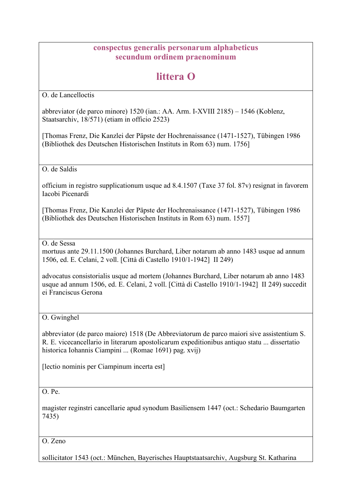## **conspectus generalis personarum alphabeticus secundum ordinem praenominum**

## **littera O**

O. de Lancelloctis

abbreviator (de parco minore) 1520 (ian.: AA. Arm. I-XVIII 2185) – 1546 (Koblenz, Staatsarchiv, 18/571) (etiam in officio 2523)

[Thomas Frenz, Die Kanzlei der Päpste der Hochrenaissance (1471-1527), Tübingen 1986 (Bibliothek des Deutschen Historischen Instituts in Rom 63) num. 1756]

O. de Saldis

officium in registro supplicationum usque ad 8.4.1507 (Taxe 37 fol. 87v) resignat in favorem Iacobi Picenardi

[Thomas Frenz, Die Kanzlei der Päpste der Hochrenaissance (1471-1527), Tübingen 1986 (Bibliothek des Deutschen Historischen Instituts in Rom 63) num. 1557]

O. de Sessa

mortuus ante 29.11.1500 (Johannes Burchard, Liber notarum ab anno 1483 usque ad annum 1506, ed. E. Celani, 2 voll. [Città di Castello 1910/1-1942] II 249)

advocatus consistorialis usque ad mortem (Johannes Burchard, Liber notarum ab anno 1483 usque ad annum 1506, ed. E. Celani, 2 voll. [Città di Castello 1910/1-1942] II 249) succedit ei Franciscus Gerona

O. Gwinghel

abbreviator (de parco maiore) 1518 (De Abbreviatorum de parco maiori sive assistentium S. R. E. vicecancellario in literarum apostolicarum expeditionibus antiquo statu ... dissertatio historica Iohannis Ciampini ... (Romae 1691) pag. xvij)

[lectio nominis per Ciampinum incerta est]

O. Pe.

magister reginstri cancellarie apud synodum Basiliensem 1447 (oct.: Schedario Baumgarten 7435)

O. Zeno

sollicitator 1543 (oct.: München, Bayerisches Hauptstaatsarchiv, Augsburg St. Katharina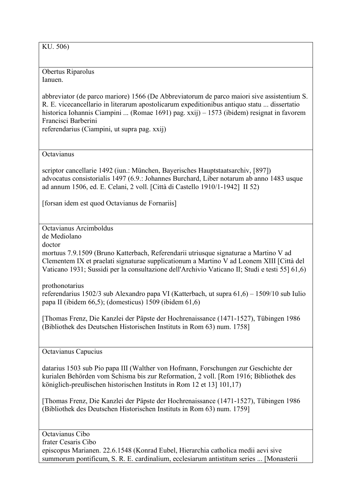KU. 506)

Obertus Riparolus Ianuen.

abbreviator (de parco mariore) 1566 (De Abbreviatorum de parco maiori sive assistentium S. R. E. vicecancellario in literarum apostolicarum expeditionibus antiquo statu ... dissertatio historica Iohannis Ciampini ... (Romae 1691) pag. xxij) – 1573 (ibidem) resignat in favorem Francisci Barberini referendarius (Ciampini, ut supra pag. xxij)

**Octavianus** 

scriptor cancellarie 1492 (iun.: München, Bayerisches Hauptstaatsarchiv, [897]) advocatus consistorialis 1497 (6.9.: Johannes Burchard, Liber notarum ab anno 1483 usque ad annum 1506, ed. E. Celani, 2 voll. [Città di Castello 1910/1-1942] II 52)

[forsan idem est quod Octavianus de Fornariis]

Octavianus Arcimboldus de Mediolano

doctor

mortuus 7.9.1509 (Bruno Katterbach, Referendarii utriusque signaturae a Martino V ad Clementem IX et praelati signaturae supplicationum a Martino V ad Leonem XIII [Città del Vaticano 1931; Sussidi per la consultazione dell'Archivio Vaticano II; Studi e testi 55] 61,6)

prothonotarius referendarius 1502/3 sub Alexandro papa VI (Katterbach, ut supra 61,6) – 1509/10 sub Iulio papa II (ibidem 66,5); (domesticus) 1509 (ibidem 61,6)

[Thomas Frenz, Die Kanzlei der Päpste der Hochrenaissance (1471-1527), Tübingen 1986 (Bibliothek des Deutschen Historischen Instituts in Rom 63) num. 1758]

Octavianus Capucius

datarius 1503 sub Pio papa III (Walther von Hofmann, Forschungen zur Geschichte der kurialen Behörden vom Schisma bis zur Reformation, 2 voll. [Rom 1916; Bibliothek des königlich-preußischen historischen Instituts in Rom 12 et 13] 101,17)

[Thomas Frenz, Die Kanzlei der Päpste der Hochrenaissance (1471-1527), Tübingen 1986 (Bibliothek des Deutschen Historischen Instituts in Rom 63) num. 1759]

Octavianus Cibo frater Cesaris Cibo episcopus Marianen. 22.6.1548 (Konrad Eubel, Hierarchia catholica medii aevi sive summorum pontificum, S. R. E. cardinalium, ecclesiarum antistitum series ... [Monasterii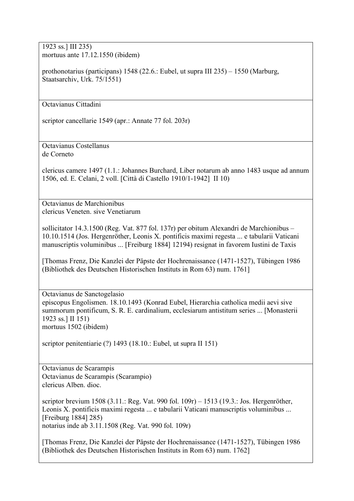1923 ss.] III 235) mortuus ante 17.12.1550 (ibidem)

prothonotarius (participans) 1548 (22.6.: Eubel, ut supra III 235) – 1550 (Marburg, Staatsarchiv, Urk. 75/1551)

Octavianus Cittadini

scriptor cancellarie 1549 (apr.: Annate 77 fol. 203r)

Octavianus Costellanus de Corneto

clericus camere 1497 (1.1.: Johannes Burchard, Liber notarum ab anno 1483 usque ad annum 1506, ed. E. Celani, 2 voll. [Città di Castello 1910/1-1942] II 10)

Octavianus de Marchionibus clericus Veneten. sive Venetiarum

sollicitator 14.3.1500 (Reg. Vat. 877 fol. 137r) per obitum Alexandri de Marchionibus – 10.10.1514 (Jos. Hergenröther, Leonis X. pontificis maximi regesta ... e tabularii Vaticani manuscriptis voluminibus ... [Freiburg 1884] 12194) resignat in favorem Iustini de Taxis

[Thomas Frenz, Die Kanzlei der Päpste der Hochrenaissance (1471-1527), Tübingen 1986 (Bibliothek des Deutschen Historischen Instituts in Rom 63) num. 1761]

Octavianus de Sanctogelasio episcopus Engolismen. 18.10.1493 (Konrad Eubel, Hierarchia catholica medii aevi sive summorum pontificum, S. R. E. cardinalium, ecclesiarum antistitum series ... [Monasterii 1923 ss.] II 151) mortuus 1502 (ibidem)

scriptor penitentiarie (?) 1493 (18.10.: Eubel, ut supra II 151)

Octavianus de Scarampis Octavianus de Scarampis (Scarampio) clericus Alben. dioc.

scriptor brevium 1508 (3.11.: Reg. Vat. 990 fol. 109r) – 1513 (19.3.: Jos. Hergenröther, Leonis X. pontificis maximi regesta ... e tabularii Vaticani manuscriptis voluminibus ... [Freiburg 1884] 285) notarius inde ab 3.11.1508 (Reg. Vat. 990 fol. 109r)

[Thomas Frenz, Die Kanzlei der Päpste der Hochrenaissance (1471-1527), Tübingen 1986 (Bibliothek des Deutschen Historischen Instituts in Rom 63) num. 1762]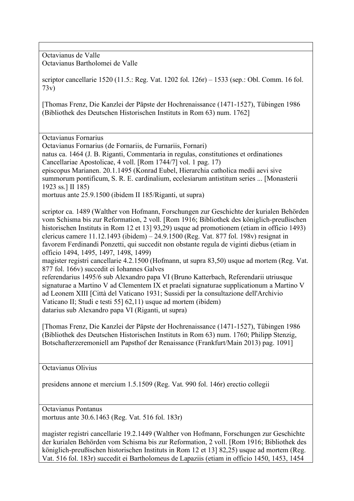Octavianus de Valle Octavianus Bartholomei de Valle

scriptor cancellarie 1520 (11.5.: Reg. Vat. 1202 fol. 126r) – 1533 (sep.: Obl. Comm. 16 fol. 73v)

[Thomas Frenz, Die Kanzlei der Päpste der Hochrenaissance (1471-1527), Tübingen 1986 (Bibliothek des Deutschen Historischen Instituts in Rom 63) num. 1762]

Octavianus Fornarius

Octavianus Fornarius (de Fornariis, de Furnariis, Fornari)

natus ca. 1464 (J. B. Riganti, Commentaria in regulas, constitutiones et ordinationes Cancellariae Apostolicae, 4 voll. [Rom 1744/7] vol. 1 pag. 17)

episcopus Marianen. 20.1.1495 (Konrad Eubel, Hierarchia catholica medii aevi sive summorum pontificum, S. R. E. cardinalium, ecclesiarum antistitum series ... [Monasterii 1923 ss.] II 185)

mortuus ante 25.9.1500 (ibidem II 185/Riganti, ut supra)

scriptor ca. 1489 (Walther von Hofmann, Forschungen zur Geschichte der kurialen Behörden vom Schisma bis zur Reformation, 2 voll. [Rom 1916; Bibliothek des königlich-preußischen historischen Instituts in Rom 12 et 13] 93,29) usque ad promotionem (etiam in officio 1493) clericus camere 11.12.1493 (ibidem) – 24.9.1500 (Reg. Vat. 877 fol. 198v) resignat in favorem Ferdinandi Ponzetti, qui succedit non obstante regula de viginti diebus (etiam in officio 1494, 1495, 1497, 1498, 1499)

magister registri cancellarie 4.2.1500 (Hofmann, ut supra 83,50) usque ad mortem (Reg. Vat. 877 fol. 166v) succedit ei Iohannes Galves

referendarius 1495/6 sub Alexandro papa VI (Bruno Katterbach, Referendarii utriusque signaturae a Martino V ad Clementem IX et praelati signaturae supplicationum a Martino V ad Leonem XIII [Città del Vaticano 1931; Sussidi per la consultazione dell'Archivio Vaticano II; Studi e testi 55] 62,11) usque ad mortem (ibidem) datarius sub Alexandro papa VI (Riganti, ut supra)

[Thomas Frenz, Die Kanzlei der Päpste der Hochrenaissance (1471-1527), Tübingen 1986 (Bibliothek des Deutschen Historischen Instituts in Rom 63) num. 1760; Philipp Stenzig, Botschafterzeremoniell am Papsthof der Renaissance (Frankfurt/Main 2013) pag. 1091]

Octavianus Olivius

presidens annone et mercium 1.5.1509 (Reg. Vat. 990 fol. 146r) erectio collegii

Octavianus Pontanus mortuus ante 30.6.1463 (Reg. Vat. 516 fol. 183r)

magister registri cancellarie 19.2.1449 (Walther von Hofmann, Forschungen zur Geschichte der kurialen Behörden vom Schisma bis zur Reformation, 2 voll. [Rom 1916; Bibliothek des königlich-preußischen historischen Instituts in Rom 12 et 13] 82,25) usque ad mortem (Reg. Vat. 516 fol. 183r) succedit ei Bartholomeus de Lapaziis (etiam in officio 1450, 1453, 1454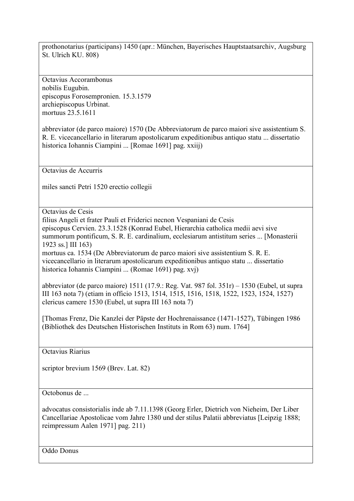prothonotarius (participans) 1450 (apr.: München, Bayerisches Hauptstaatsarchiv, Augsburg St. Ulrich KU. 808)

Octavius Accorambonus nobilis Eugubin. episcopus Forosempronien. 15.3.1579 archiepiscopus Urbinat. mortuus 23.5.1611

abbreviator (de parco maiore) 1570 (De Abbreviatorum de parco maiori sive assistentium S. R. E. vicecancellario in literarum apostolicarum expeditionibus antiquo statu ... dissertatio historica Iohannis Ciampini ... [Romae 1691] pag. xxiij)

Octavius de Accurris

miles sancti Petri 1520 erectio collegii

Octavius de Cesis

filius Angeli et frater Pauli et Friderici necnon Vespaniani de Cesis episcopus Cervien. 23.3.1528 (Konrad Eubel, Hierarchia catholica medii aevi sive summorum pontificum, S. R. E. cardinalium, ecclesiarum antistitum series ... [Monasterii 1923 ss.] III 163) mortuus ca. 1534 (De Abbreviatorum de parco maiori sive assistentium S. R. E.

vicecancellario in literarum apostolicarum expeditionibus antiquo statu ... dissertatio historica Iohannis Ciampini ... (Romae 1691) pag. xvj)

abbreviator (de parco maiore) 1511 (17.9.: Reg. Vat. 987 fol. 351r) – 1530 (Eubel, ut supra III 163 nota 7) (etiam in officio 1513, 1514, 1515, 1516, 1518, 1522, 1523, 1524, 1527) clericus camere 1530 (Eubel, ut supra III 163 nota 7)

[Thomas Frenz, Die Kanzlei der Päpste der Hochrenaissance (1471-1527), Tübingen 1986 (Bibliothek des Deutschen Historischen Instituts in Rom 63) num. 1764]

Octavius Riarius

scriptor brevium 1569 (Brev. Lat. 82)

Octobonus de ...

advocatus consistorialis inde ab 7.11.1398 (Georg Erler, Dietrich von Nieheim, Der Liber Cancellariae Apostolicae vom Jahre 1380 und der stilus Palatii abbreviatus [Leipzig 1888; reimpressum Aalen 1971] pag. 211)

Oddo Donus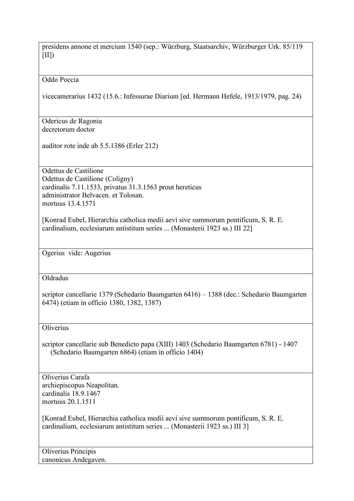presidens annone et mercium 1540 (sep.: Würzburg, Staatsarchiv, Würzburger Urk. 85/119  $[III]$ 

Oddo Poccia

vicecamerarius 1432 (15.6.: Infessurae Diarium [ed. Hermann Hefele, 1913/1979, pag. 24)

Odericus de Ragonia decretorum doctor

auditor rote inde ab 5.5.1386 (Erler 212)

Odettus de Castilione Odettus de Castilione (Coligny) cardinalis 7.11.1533, privatus 31.3.1563 prout hereticus administrator Belvacen. et Tolosan. mortuus 13.4.1571

[Konrad Eubel, Hierarchia catholica medii aevi sive summorum pontificum, S. R. E. cardinalium, ecclesiarum antistitum series ... (Monasterii 1923 ss.) III 22]

Ogerius vide: Augerius

Oldradus

scriptor cancellarie 1379 (Schedario Baumgarten 6416) – 1388 (dec.: Schedario Baumgarten 6474) (etiam in officio 1380, 1382, 1387)

**Oliverius** 

scriptor cancellarie sub Benedicto papa (XIII) 1403 (Schedario Baumgarten 6781) - 1407 (Schedario Baumgarten 6864) (etiam in officio 1404)

Oliverius Carafa archiepiscopus Neapolitan. cardinalis 18.9.1467 mortuus 20.1.1511

[Konrad Eubel, Hierarchia catholica medii aevi sive summorum pontificum, S. R. E. cardinalium, ecclesiarum antistitum series ... (Monasterii 1923 ss.) III 3]

Oliverius Principis canonicus Andegaven.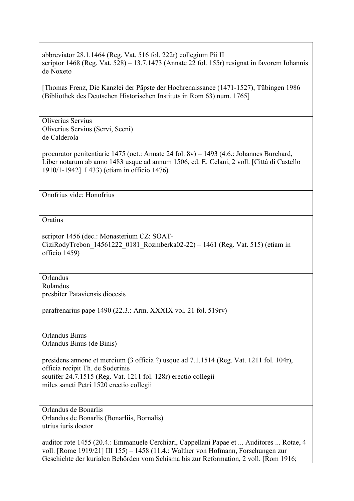abbreviator 28.1.1464 (Reg. Vat. 516 fol. 222r) collegium Pii II scriptor 1468 (Reg. Vat. 528) – 13.7.1473 (Annate 22 fol. 155r) resignat in favorem Iohannis de Noxeto [Thomas Frenz, Die Kanzlei der Päpste der Hochrenaissance (1471-1527), Tübingen 1986 (Bibliothek des Deutschen Historischen Instituts in Rom 63) num. 1765] Oliverius Servius Oliverius Servius (Servi, Seeni) de Calderola procurator penitentiarie 1475 (oct.: Annate 24 fol. 8v) – 1493 (4.6.: Johannes Burchard, Liber notarum ab anno 1483 usque ad annum 1506, ed. E. Celani, 2 voll. [Città di Castello 1910/1-1942] I 433) (etiam in officio 1476) Onofrius vide: Honofrius **Oratius** scriptor 1456 (dec.: Monasterium CZ: SOAT-CiziRodyTrebon\_14561222\_0181\_Rozmberka02-22) – 1461 (Reg. Vat. 515) (etiam in officio 1459) Orlandus Rolandus presbiter Pataviensis diocesis parafrenarius pape 1490 (22.3.: Arm. XXXIX vol. 21 fol. 519rv) Orlandus Binus Orlandus Binus (de Binis) presidens annone et mercium (3 officia ?) usque ad 7.1.1514 (Reg. Vat. 1211 fol. 104r), officia recipit Th. de Soderinis scutifer 24.7.1515 (Reg. Vat. 1211 fol. 128r) erectio collegii miles sancti Petri 1520 erectio collegii Orlandus de Bonarlis Orlandus de Bonarlis (Bonarliis, Bornalis) utrius iuris doctor auditor rote 1455 (20.4.: Emmanuele Cerchiari, Cappellani Papae et ... Auditores ... Rotae, 4 voll. [Rome 1919/21] III 155) – 1458 (11.4.: Walther von Hofmann, Forschungen zur

Geschichte der kurialen Behörden vom Schisma bis zur Reformation, 2 voll. [Rom 1916;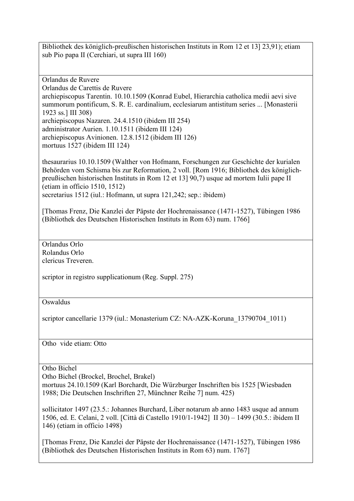Bibliothek des königlich-preußischen historischen Instituts in Rom 12 et 13] 23,91); etiam sub Pio papa II (Cerchiari, ut supra III 160)

Orlandus de Ruvere

Orlandus de Carettis de Ruvere

archiepiscopus Tarentin. 10.10.1509 (Konrad Eubel, Hierarchia catholica medii aevi sive summorum pontificum, S. R. E. cardinalium, ecclesiarum antistitum series ... [Monasterii 1923 ss.] III 308)

archiepiscopus Nazaren. 24.4.1510 (ibidem III 254) administrator Aurien. 1.10.1511 (ibidem III 124)

archiepiscopus Avinionen. 12.8.1512 (ibidem III 126)

mortuus 1527 (ibidem III 124)

thesaurarius 10.10.1509 (Walther von Hofmann, Forschungen zur Geschichte der kurialen Behörden vom Schisma bis zur Reformation, 2 voll. [Rom 1916; Bibliothek des königlichpreußischen historischen Instituts in Rom 12 et 13] 90,7) usque ad mortem Iulii pape II (etiam in officio 1510, 1512)

secretarius 1512 (iul.: Hofmann, ut supra 121,242; sep.: ibidem)

[Thomas Frenz, Die Kanzlei der Päpste der Hochrenaissance (1471-1527), Tübingen 1986 (Bibliothek des Deutschen Historischen Instituts in Rom 63) num. 1766]

Orlandus Orlo Rolandus Orlo clericus Treveren.

scriptor in registro supplicationum (Reg. Suppl. 275)

Oswaldus

scriptor cancellarie 1379 (iul.: Monasterium CZ: NA-AZK-Koruna\_13790704\_1011)

Otho vide etiam: Otto

Otho Bichel

Otho Bichel (Brockel, Brochel, Brakel)

mortuus 24.10.1509 (Karl Borchardt, Die Würzburger Inschriften bis 1525 [Wiesbaden 1988; Die Deutschen Inschriften 27, Münchner Reihe 7] num. 425)

sollicitator 1497 (23.5.: Johannes Burchard, Liber notarum ab anno 1483 usque ad annum 1506, ed. E. Celani, 2 voll. [Città di Castello 1910/1-1942] II 30) – 1499 (30.5.: ibidem II 146) (etiam in officio 1498)

[Thomas Frenz, Die Kanzlei der Päpste der Hochrenaissance (1471-1527), Tübingen 1986 (Bibliothek des Deutschen Historischen Instituts in Rom 63) num. 1767]